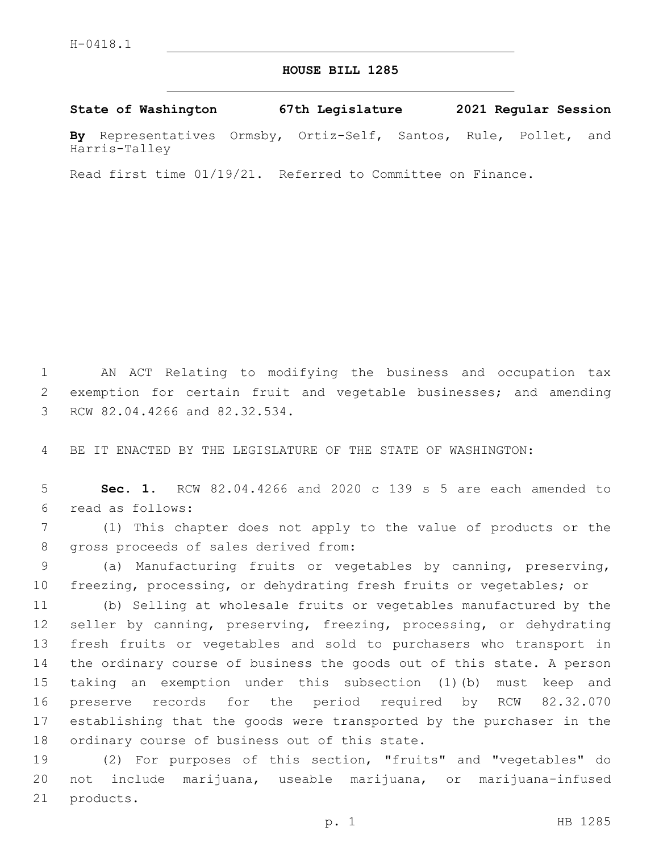## **HOUSE BILL 1285**

**State of Washington 67th Legislature 2021 Regular Session**

**By** Representatives Ormsby, Ortiz-Self, Santos, Rule, Pollet, and Harris-Talley

Read first time 01/19/21. Referred to Committee on Finance.

1 AN ACT Relating to modifying the business and occupation tax 2 exemption for certain fruit and vegetable businesses; and amending 3 RCW 82.04.4266 and 82.32.534.

4 BE IT ENACTED BY THE LEGISLATURE OF THE STATE OF WASHINGTON:

5 **Sec. 1.** RCW 82.04.4266 and 2020 c 139 s 5 are each amended to read as follows:6

7 (1) This chapter does not apply to the value of products or the 8 gross proceeds of sales derived from:

9 (a) Manufacturing fruits or vegetables by canning, preserving, 10 freezing, processing, or dehydrating fresh fruits or vegetables; or

 (b) Selling at wholesale fruits or vegetables manufactured by the seller by canning, preserving, freezing, processing, or dehydrating fresh fruits or vegetables and sold to purchasers who transport in the ordinary course of business the goods out of this state. A person taking an exemption under this subsection (1)(b) must keep and preserve records for the period required by RCW 82.32.070 establishing that the goods were transported by the purchaser in the 18 ordinary course of business out of this state.

19 (2) For purposes of this section, "fruits" and "vegetables" do 20 not include marijuana, useable marijuana, or marijuana-infused 21 products.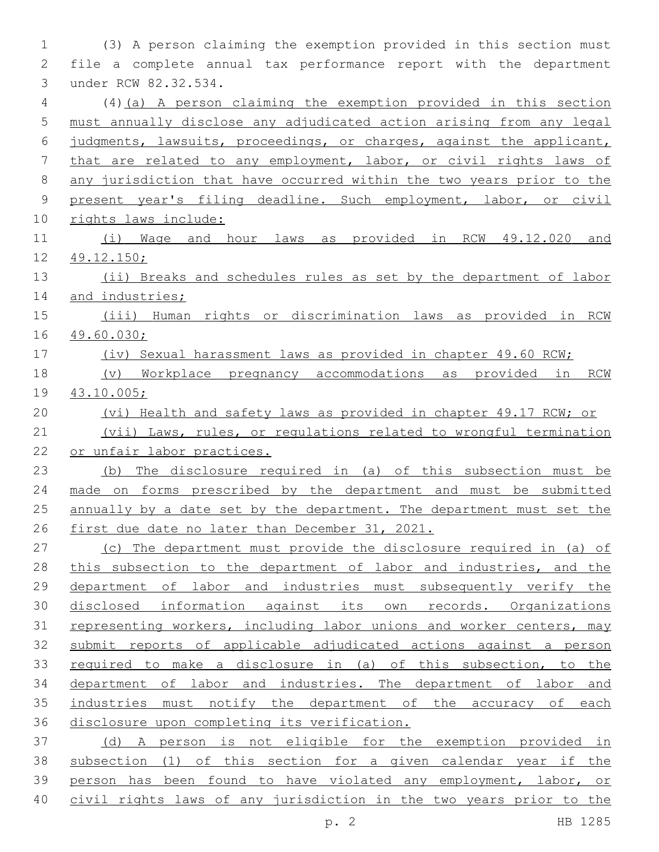(3) A person claiming the exemption provided in this section must file a complete annual tax performance report with the department 3 under RCW 82.32.534. (4)(a) A person claiming the exemption provided in this section must annually disclose any adjudicated action arising from any legal judgments, lawsuits, proceedings, or charges, against the applicant, that are related to any employment, labor, or civil rights laws of 8 any jurisdiction that have occurred within the two years prior to the present year's filing deadline. Such employment, labor, or civil rights laws include: (i) Wage and hour laws as provided in RCW 49.12.020 and 49.12.150; (ii) Breaks and schedules rules as set by the department of labor 14 and industries; (iii) Human rights or discrimination laws as provided in RCW 49.60.030; (iv) Sexual harassment laws as provided in chapter 49.60 RCW; (v) Workplace pregnancy accommodations as provided in RCW 43.10.005; (vi) Health and safety laws as provided in chapter 49.17 RCW; or (vii) Laws, rules, or regulations related to wrongful termination or unfair labor practices. (b) The disclosure required in (a) of this subsection must be made on forms prescribed by the department and must be submitted 25 annually by a date set by the department. The department must set the first due date no later than December 31, 2021. (c) The department must provide the disclosure required in (a) of 28 this subsection to the department of labor and industries, and the department of labor and industries must subsequently verify the disclosed information against its own records. Organizations 31 representing workers, including labor unions and worker centers, may submit reports of applicable adjudicated actions against a person required to make a disclosure in (a) of this subsection, to the department of labor and industries. The department of labor and 35 industries must notify the department of the accuracy of each disclosure upon completing its verification. (d) A person is not eligible for the exemption provided in subsection (1) of this section for a given calendar year if the person has been found to have violated any employment, labor, or civil rights laws of any jurisdiction in the two years prior to the

p. 2 HB 1285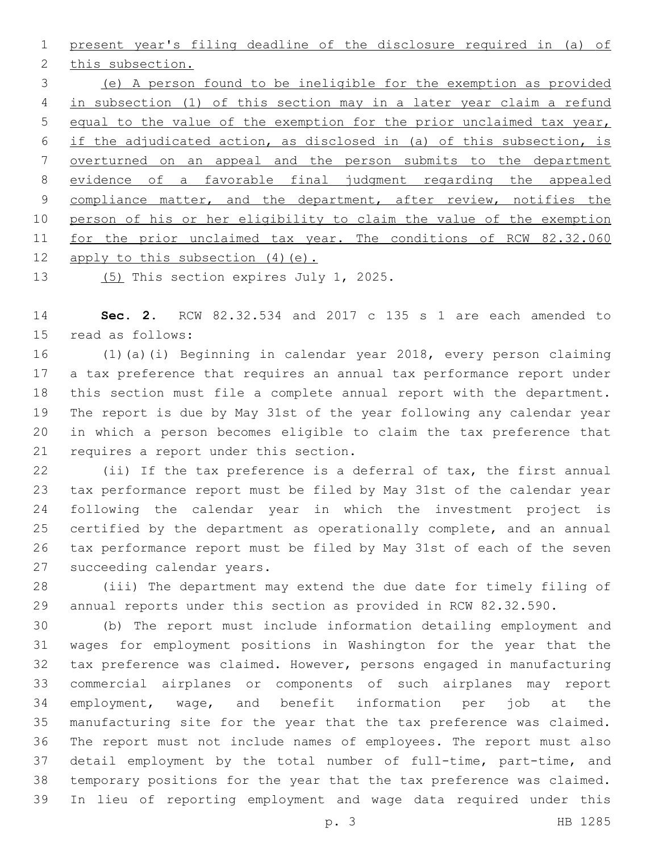present year's filing deadline of the disclosure required in (a) of 2 this subsection. (e) A person found to be ineligible for the exemption as provided in subsection (1) of this section may in a later year claim a refund equal to the value of the exemption for the prior unclaimed tax year, if the adjudicated action, as disclosed in (a) of this subsection, is overturned on an appeal and the person submits to the department evidence of a favorable final judgment regarding the appealed 9 compliance matter, and the department, after review, notifies the 10 person of his or her eligibility to claim the value of the exemption 11 for the prior unclaimed tax year. The conditions of RCW 82.32.060 12 apply to this subsection (4) (e).

13 (5) This section expires July 1, 2025.

 **Sec. 2.** RCW 82.32.534 and 2017 c 135 s 1 are each amended to 15 read as follows:

 (1)(a)(i) Beginning in calendar year 2018, every person claiming a tax preference that requires an annual tax performance report under this section must file a complete annual report with the department. The report is due by May 31st of the year following any calendar year in which a person becomes eligible to claim the tax preference that 21 requires a report under this section.

 (ii) If the tax preference is a deferral of tax, the first annual tax performance report must be filed by May 31st of the calendar year following the calendar year in which the investment project is certified by the department as operationally complete, and an annual tax performance report must be filed by May 31st of each of the seven 27 succeeding calendar years.

 (iii) The department may extend the due date for timely filing of annual reports under this section as provided in RCW 82.32.590.

 (b) The report must include information detailing employment and wages for employment positions in Washington for the year that the tax preference was claimed. However, persons engaged in manufacturing commercial airplanes or components of such airplanes may report employment, wage, and benefit information per job at the manufacturing site for the year that the tax preference was claimed. The report must not include names of employees. The report must also detail employment by the total number of full-time, part-time, and temporary positions for the year that the tax preference was claimed. In lieu of reporting employment and wage data required under this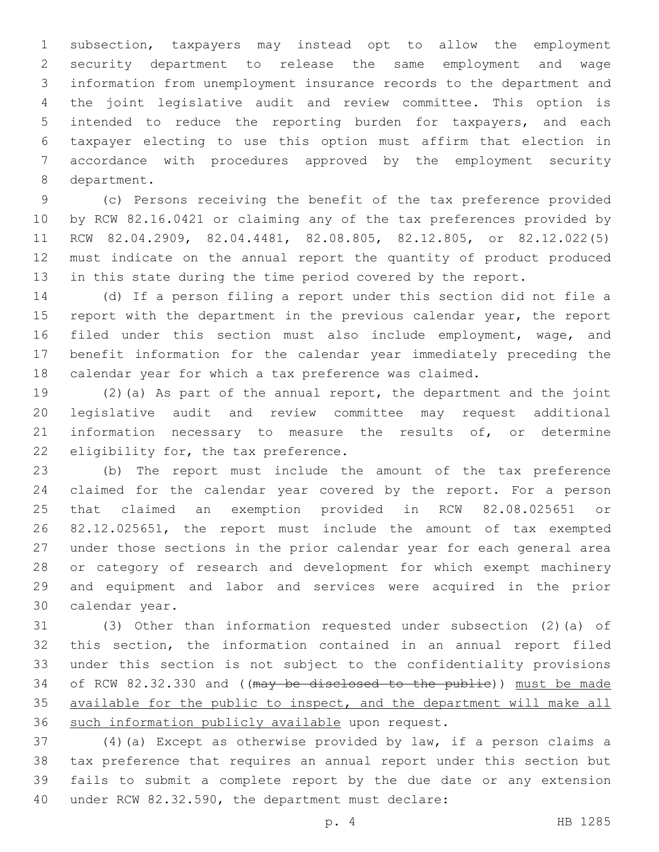subsection, taxpayers may instead opt to allow the employment security department to release the same employment and wage information from unemployment insurance records to the department and the joint legislative audit and review committee. This option is intended to reduce the reporting burden for taxpayers, and each taxpayer electing to use this option must affirm that election in accordance with procedures approved by the employment security 8 department.

 (c) Persons receiving the benefit of the tax preference provided by RCW 82.16.0421 or claiming any of the tax preferences provided by RCW 82.04.2909, 82.04.4481, 82.08.805, 82.12.805, or 82.12.022(5) 12 must indicate on the annual report the quantity of product produced 13 in this state during the time period covered by the report.

 (d) If a person filing a report under this section did not file a 15 report with the department in the previous calendar year, the report filed under this section must also include employment, wage, and benefit information for the calendar year immediately preceding the calendar year for which a tax preference was claimed.

 (2)(a) As part of the annual report, the department and the joint legislative audit and review committee may request additional 21 information necessary to measure the results of, or determine 22 eligibility for, the tax preference.

 (b) The report must include the amount of the tax preference claimed for the calendar year covered by the report. For a person that claimed an exemption provided in RCW 82.08.025651 or 82.12.025651, the report must include the amount of tax exempted under those sections in the prior calendar year for each general area or category of research and development for which exempt machinery and equipment and labor and services were acquired in the prior 30 calendar year.

 (3) Other than information requested under subsection (2)(a) of this section, the information contained in an annual report filed under this section is not subject to the confidentiality provisions 34 of RCW 82.32.330 and ((may be disclosed to the public)) must be made available for the public to inspect, and the department will make all 36 such information publicly available upon request.

 (4)(a) Except as otherwise provided by law, if a person claims a tax preference that requires an annual report under this section but fails to submit a complete report by the due date or any extension 40 under RCW 82.32.590, the department must declare: